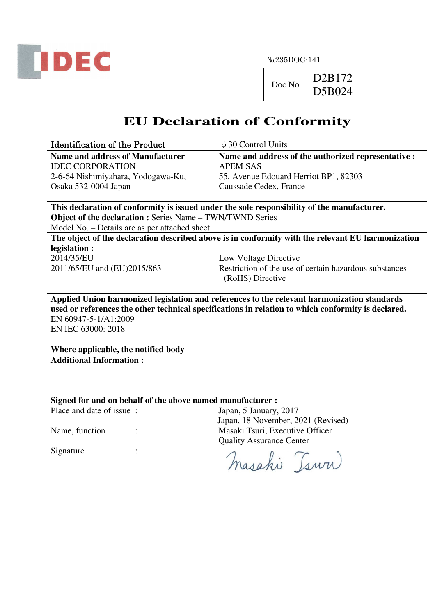

 $Doc No.$  D2B172 D5B024

# **EU Declaration of Conformity**

| <b>Identification of the Product</b> | $\phi$ 30 Control Units                             |
|--------------------------------------|-----------------------------------------------------|
| Name and address of Manufacturer     | Name and address of the authorized representative : |
| <b>IDEC CORPORATION</b>              | APEM SAS                                            |
| 2-6-64 Nishimiyahara, Yodogawa-Ku,   | 55, Avenue Edouard Herriot BP1, 82303               |
| Osaka 532-0004 Japan                 | Caussade Cedex, France                              |

**This declaration of conformity is issued under the sole responsibility of the manufacturer. Object of the declaration :** Series Name – TWN/TWND Series

Model No. – Details are as per attached sheet

**The object of the declaration described above is in conformity with the relevant EU harmonization legislation :** 

2014/35/EU Low Voltage Directive

2011/65/EU and (EU)2015/863 Restriction of the use of certain hazardous substances (RoHS) Directive

**Applied Union harmonized legislation and references to the relevant harmonization standards used or references the other technical specifications in relation to which conformity is declared.**  EN 60947-5-1/A1:2009 EN IEC 63000: 2018

**Where applicable, the notified body Additional Information :** 

**Signed for and on behalf of the above named manufacturer :** 

Place and date of issue : Japan, 5 January, 2017

Signature :

Japan, 18 November, 2021 (Revised) Name, function : Masaki Tsuri, Executive Officer Quality Assurance Center

masahi Tsuri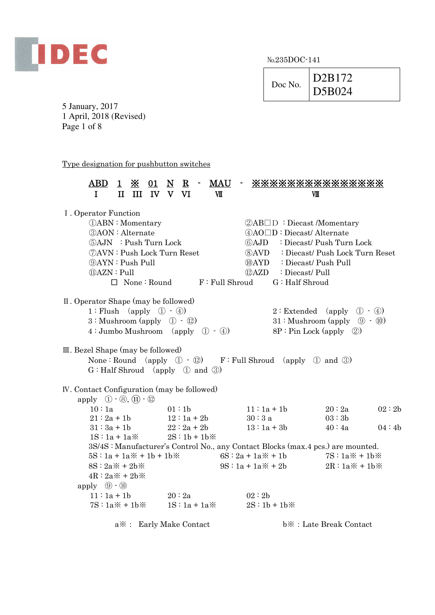

 $Doc No.$  D<sub>2B172</sub> D5B024

5 January, 2017 1 April, 2018 (Revised) Page 1 of 8

Type designation for pushbutton switches

| ${\rm ABD}$<br>I                                           | $\mathbf{1}$<br>$\mathbf H$ | <u>※</u>                            | $01$ N R<br>III IV V VI |                    | <b>MAU</b><br>Ⅶ |              |                                                                              | VIII           | <b>***********</b> *                                                             |                                             |  |
|------------------------------------------------------------|-----------------------------|-------------------------------------|-------------------------|--------------------|-----------------|--------------|------------------------------------------------------------------------------|----------------|----------------------------------------------------------------------------------|---------------------------------------------|--|
| I. Operator Function                                       |                             |                                     |                         |                    |                 |              |                                                                              |                |                                                                                  |                                             |  |
| <b><i>OABN</i></b> : Momentary                             |                             |                                     |                         |                    |                 |              |                                                                              |                | $QAB \Box D$ : Diecast /Momentary                                                |                                             |  |
| <b>3AON</b> : Alternate                                    |                             |                                     |                         |                    |                 |              | $(AAO \Box D : Diecast/Alternate$                                            |                |                                                                                  |                                             |  |
| 5AJN : Push Turn Lock                                      |                             |                                     |                         |                    |                 | 6)AJD        |                                                                              |                | : Diecast/ Push Turn Lock                                                        |                                             |  |
| <b>OAVN</b> : Push Lock Turn Reset                         |                             |                                     |                         |                    |                 |              |                                                                              |                |                                                                                  | <b>8AVD</b> : Diecast/ Push Lock Turn Reset |  |
| <b>9AYN: Push Pull</b>                                     |                             |                                     |                         |                    |                 | <b>@AYD</b>  |                                                                              |                | : Diecast/ Push Pull                                                             |                                             |  |
| (i)AZN: Pull                                               |                             |                                     |                         |                    |                 | @AZD         |                                                                              | : Diecast/Pull |                                                                                  |                                             |  |
|                                                            |                             | $\Box$ None: Round                  |                         |                    | F: Full Shroud  |              | G: Half Shroud                                                               |                |                                                                                  |                                             |  |
| II. Operator Shape (may be followed)                       |                             |                                     |                         |                    |                 |              |                                                                              |                |                                                                                  |                                             |  |
| 1: Flush (apply $(1 \cdot 4)$ )                            |                             |                                     |                         |                    |                 |              |                                                                              |                | $2:$ Extended (apply $\mathbb{D} \cdot \mathbb{A}$ )                             |                                             |  |
| $3:$ Mushroom (apply $\circled{1} \cdot \circled{2}$ )     |                             |                                     |                         |                    |                 |              |                                                                              |                | $31:$ Mushroom (apply $\circled{9} \cdot \circled{1}$ )                          |                                             |  |
| $4:$ Jumbo Mushroom (apply $(1) \cdot (4)$ )               |                             |                                     |                         |                    |                 |              |                                                                              |                | $8P : Pin Lock (apply \tQ)$                                                      |                                             |  |
| III. Bezel Shape (may be followed)                         |                             |                                     |                         |                    |                 |              |                                                                              |                |                                                                                  |                                             |  |
|                                                            |                             |                                     |                         |                    |                 |              | None: Round (apply $(1) \cdot (2)$ ) F: Full Shroud (apply $(1)$ and $(3)$ ) |                |                                                                                  |                                             |  |
| $G$ : Half Shroud (apply $\circled{1}$ and $\circled{3}$ ) |                             |                                     |                         |                    |                 |              |                                                                              |                |                                                                                  |                                             |  |
| IV. Contact Configuration (may be followed)                |                             |                                     |                         |                    |                 |              |                                                                              |                |                                                                                  |                                             |  |
| apply $(1) \cdot (8)$ , $(1) \cdot (1)$                    |                             |                                     |                         |                    |                 |              |                                                                              |                |                                                                                  |                                             |  |
| 10:1a                                                      |                             |                                     |                         | 01:1b              |                 | $11:1a + 1b$ |                                                                              |                | 20:2a                                                                            | 02:2b                                       |  |
| $21:2a+1b$                                                 |                             |                                     |                         | $12:1a+2b$         |                 | 30:3a        |                                                                              |                | 03:3b                                                                            |                                             |  |
| $31:3a + 1b$                                               |                             |                                     |                         | $22:2a+2b$         |                 | $13:1a + 3b$ |                                                                              |                | 40:4a                                                                            | 04:4b                                       |  |
| $1S:1a+1a\%$                                               |                             |                                     |                         | $2S : 1b + 1b$     |                 |              |                                                                              |                |                                                                                  |                                             |  |
|                                                            |                             |                                     |                         |                    |                 |              |                                                                              |                | 3S/4S : Manufacturer's Control No., any Contact Blocks (max.4 pcs.) are mounted. |                                             |  |
| $5S : 1a + 1a \times 1b + 1b \times$                       |                             |                                     |                         |                    |                 |              | $6S: 2a + 1a \times 1b$                                                      |                | $7S:1a\%+1b\%$                                                                   |                                             |  |
| $8S : 2a \times 42b \times$                                |                             |                                     |                         |                    |                 |              | $9S : 1a + 1a \times 2b$                                                     |                | $2R : 1a \times 1b \times$                                                       |                                             |  |
| $4R : 2a \times 42b \times$                                |                             |                                     |                         |                    |                 |              |                                                                              |                |                                                                                  |                                             |  |
| apply $\circled{9}$ $\cdot \circled{10}$                   |                             |                                     |                         |                    |                 |              |                                                                              |                |                                                                                  |                                             |  |
| $11:1a+1b$                                                 |                             |                                     |                         | 20:2a              |                 | 02 : 2b      |                                                                              |                |                                                                                  |                                             |  |
| $7S: 1a \times 1b \times$                                  |                             |                                     |                         | $1S:1a+1a\ddot{ }$ |                 |              | $2S : 1b + 1b$                                                               |                |                                                                                  |                                             |  |
|                                                            |                             | a <sup>*</sup> : Early Make Contact |                         |                    |                 |              |                                                                              |                | b <sup>*</sup> : Late Break Contact                                              |                                             |  |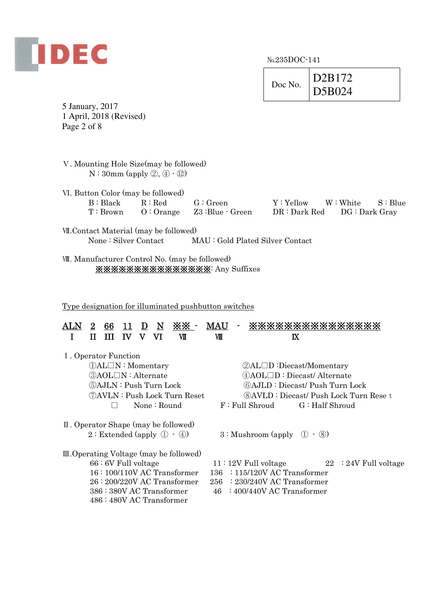

|         | ID2B172 |
|---------|---------|
| Doc No. | D5B024  |

5 January, 2017 1 April, 2018 (Revised) Page 2 of 8

| V. Mounting Hole Size(may be followed)   |
|------------------------------------------|
| $N: 30mm$ (apply $(2), (4) \cdot (12)$ ) |

- Ⅵ. Button Color (may be followed)
	- B: Black R: Red G: Green Y: Yellow W: White S: Blue
	- T : Brown O : Orange Z3 :Blue Green DR : Dark Red DG : Dark Gray
- Ⅶ.Contact Material (may be followed) None : Silver Contact MAU : Gold Plated Silver Contact
- Ⅷ. Manufacturer Control No. (may be followed) ※※※※※※※※※※※※※※※: Any Suffixes

Type designation for illuminated pushbutton switches

| ${\rm ANN}$ |  |  | ×х | MATI | <b>***************</b> |
|-------------|--|--|----|------|------------------------|
|             |  |  |    | VIII |                        |

| I. Operator Function                     |                                  |                                                        |                 |                                                  |  |  |  |  |
|------------------------------------------|----------------------------------|--------------------------------------------------------|-----------------|--------------------------------------------------|--|--|--|--|
| $\mathbb{Q}$ AL $\Box$ N : Momentary     | $QAL \Box D$ : Diecast/Momentary |                                                        |                 |                                                  |  |  |  |  |
| <b>3AOL</b> N: Alternate                 |                                  | $(A A O L \Box D : Diecast / Alternative$              |                 |                                                  |  |  |  |  |
| <b>5AJLN: Push Turn Lock</b>             |                                  | <b>6. 6. SAJLD</b> : Diecast/ Push Turn Lock           |                 |                                                  |  |  |  |  |
| (7) AVLN : Push Lock Turn Reset          |                                  |                                                        |                 | <b>(8) AVLD</b> : Diecast/ Push Lock Turn Rese t |  |  |  |  |
| None: Round                              |                                  | $F: Full\ Shroud$                                      | G : Half Shroud |                                                  |  |  |  |  |
| II. Operator Shape (may be followed)     |                                  |                                                        |                 |                                                  |  |  |  |  |
| 2: Extended (apply $(1) \cdot (4)$ )     |                                  | $3:$ Mushroom (apply $\circled{1} \cdot \circled{8}$ ) |                 |                                                  |  |  |  |  |
| III. Operating Voltage (may be followed) |                                  |                                                        |                 |                                                  |  |  |  |  |
| $66:6V$ Full voltage                     |                                  | $11:12V$ Full voltage                                  |                 | $22 \div 24V$ Full voltage                       |  |  |  |  |
| 16:100/110V AC Transformer               |                                  | $136$ : 115/120V AC Transformer                        |                 |                                                  |  |  |  |  |
| $26:200/220V$ AC Transformer             |                                  | $256$ : $230/240V$ AC Transformer                      |                 |                                                  |  |  |  |  |
| 386 : 380V AC Transformer                | 46                               | $\therefore$ 400/440V AC Transformer                   |                 |                                                  |  |  |  |  |
| 486 : 480V AC Transformer                |                                  |                                                        |                 |                                                  |  |  |  |  |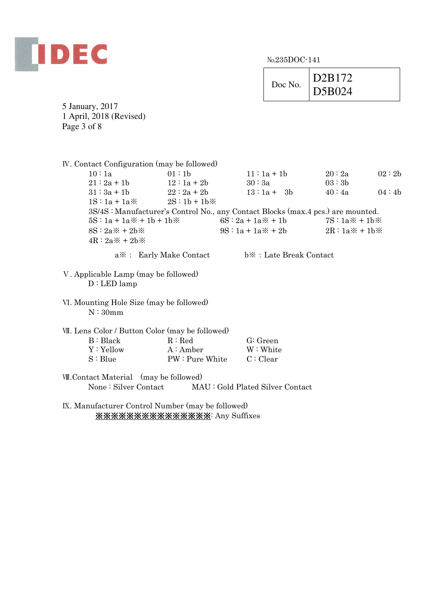

 $Doc No.$  D2B172 D5B024 5 January, 2017 1 April, 2018 (Revised) Page 3 of 8 Ⅳ. Contact Configuration (may be followed)  $10 : 1a$   $01 : 1b$   $11 : 1a + 1b$   $20 : 2a$   $02 : 2b$  $21 : 2a + 1b$   $12 : 1a + 2b$   $30 : 3a$   $03 : 3b$  $31 : 3a + 1b$   $22 : 2a + 2b$   $13 : 1a + 3b$   $40 : 4a$   $04 : 4b$  $1S : 1a + 1a \times 2S : 1b + 1b \times$  3S/4S : Manufacturer's Control No., any Contact Blocks (max.4 pcs.) are mounted.  $5S : 1a + 1a \times + 1b + 1b \times 6S : 2a + 1a \times + 1b$  7S:  $1a \times + 1b \times$  $8S : 2a \times + 2b \times = 9S : 1a + 1a \times + 2b$   $2R : 1a \times + 1b \times$  $4R : 2a \times 42b \times 5$ a※: Early Make Contact b※:Late Break Contact Ⅴ. Applicable Lamp (may be followed) D : LED lamp Ⅵ. Mounting Hole Size (may be followed)  $N:30mm$ Ⅶ. Lens Color / Button Color (may be followed) B : Black R : Red G: Green Y : Yellow  $A :$  A mber W : White S : Blue PW : Pure White  $C : Clear$ Ⅷ.Contact Material (may be followed) None : Silver Contact MAU : Gold Plated Silver Contact Ⅸ. Manufacturer Control Number (may be followed) ※※※※※※※※※※※※※※※: Any Suffixes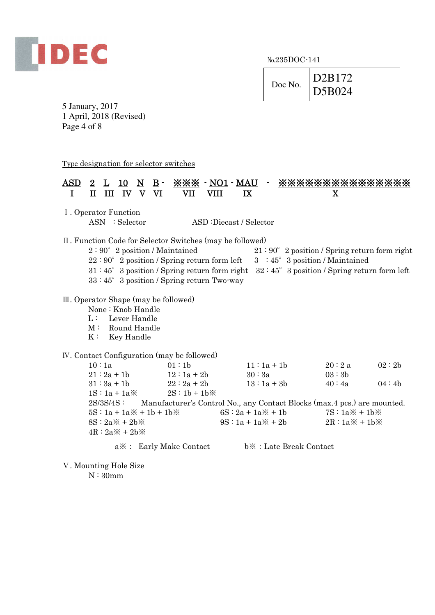

 $Doc No.$  D2B172 D5B024

5 January, 2017 1 April, 2018 (Revised) Page 4 of 8

Type designation for selector switches

## ASD 2 L 10 N B - ※※※ - NO1 - MAU - ※※※※※※※※※※※※※※※※ I II III IV V VI VII VIII IX X

Ⅰ. Operator Function

ASN : Selector ASD :Diecast / Selector

Ⅱ. Function Code for Selector Switches (may be followed)

- $2:90^{\circ}$  2 position / Maintained  $21:90^{\circ}$  2 position / Spring return form right
- $22:90^{\circ}$  2 position / Spring return form left  $3:45^{\circ}$  3 position / Maintained
- $31 : 45^\circ$  3 position / Spring return form right  $32 : 45^\circ$  3 position / Spring return form left
- 33 : 45°3 position / Spring return Two-way

### Ⅲ. Operator Shape (may be followed)

- None : Knob Handle
- L: Lever Handle
- M : Round Handle
- K: Key Handle

#### Ⅳ. Contact Configuration (may be followed)

 $10 : 1a$   $01 : 1b$   $11 : 1a + 1b$   $20 : 2a$   $02 : 2b$  $21 : 2a + 1b$   $12 : 1a + 2b$   $30 : 3a$   $03 : 3b$  $31 : 3a + 1b$   $22 : 2a + 2b$   $13 : 1a + 3b$   $40 : 4a$   $04 : 4b$  $1S : 1a + 1a \times 2S : 1b + 1b \times$  2S/3S/4S : Manufacturer's Control No., any Contact Blocks (max.4 pcs.) are mounted.  $5S : 1a + 1a \times + 1b + 1b \times 6S : 2a + 1a \times + 1b$  7S:  $1a \times + 1b \times$  $8S : 2a \times + 2b \times = 9S : 1a + 1a \times + 2b$   $2R : 1a \times + 1b \times$  $4R : 2a \times 42b \times$ 

a※: Early Make Contact b※:Late Break Contact

Ⅴ. Mounting Hole Size

 $N:30mm$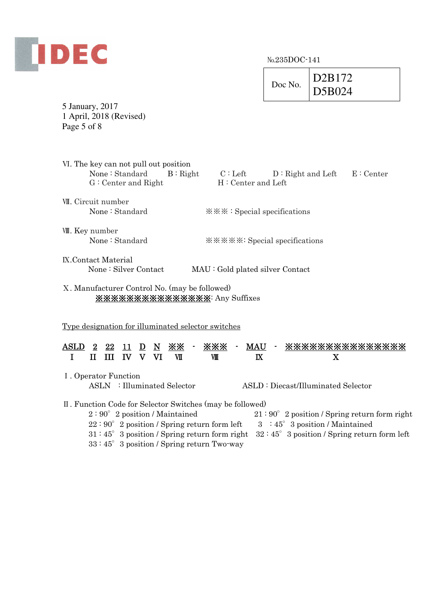

|         | D <sub>2</sub> B <sub>172</sub> |
|---------|---------------------------------|
| Doc No. | D5B024                          |

5 January, 2017 1 April, 2018 (Revised) Page 5 of 8

| VI. The key can not pull out position<br>None: Standard<br>B: Right<br>$G:$ Center and Right | $C: \mathbf{Left}$<br>$D :$ Right and Left<br>H: Center and Left | $E:$ Center |  |  |  |  |  |  |
|----------------------------------------------------------------------------------------------|------------------------------------------------------------------|-------------|--|--|--|--|--|--|
| VII. Circuit number<br>None: Standard                                                        | $X \times Y$ : Special specifications                            |             |  |  |  |  |  |  |
| VII. Key number<br>None: Standard                                                            |                                                                  |             |  |  |  |  |  |  |
| IX.Contact Material<br>None: Silver Contact                                                  | MAU: Gold plated silver Contact                                  |             |  |  |  |  |  |  |
| X. Manufacturer Control No. (may be followed)<br><b>※※※※※※※※※※※※※※</b> Any Suffixes          |                                                                  |             |  |  |  |  |  |  |
| <u>Type designation for illuminated selector switches</u>                                    |                                                                  |             |  |  |  |  |  |  |
|                                                                                              |                                                                  |             |  |  |  |  |  |  |

| xxxxxx<br><b>MAU</b>                                      |  |  |  |  |  |  |  |  |  |  |
|-----------------------------------------------------------|--|--|--|--|--|--|--|--|--|--|
| TX                                                        |  |  |  |  |  |  |  |  |  |  |
| I. Operator Function                                      |  |  |  |  |  |  |  |  |  |  |
| ASLD: Diecast/Illuminated Selector                        |  |  |  |  |  |  |  |  |  |  |
| II. Function Code for Selector Switches (may be followed) |  |  |  |  |  |  |  |  |  |  |
| $21:90^{\circ}$ 2 position / Spring return form right     |  |  |  |  |  |  |  |  |  |  |
| $3:45^{\circ}$ 3 position / Maintained                    |  |  |  |  |  |  |  |  |  |  |
| $32:45^{\circ}$ 3 position / Spring return form left      |  |  |  |  |  |  |  |  |  |  |
|                                                           |  |  |  |  |  |  |  |  |  |  |
|                                                           |  |  |  |  |  |  |  |  |  |  |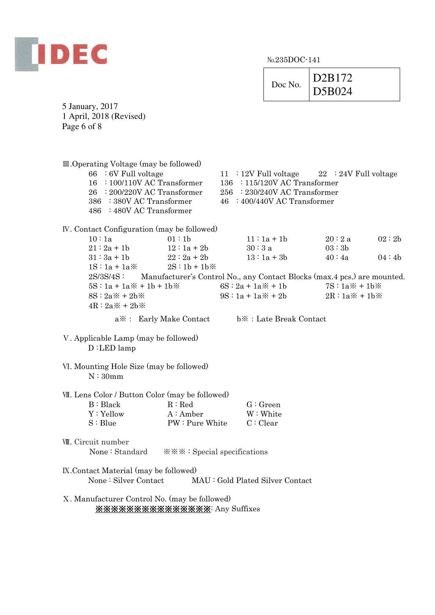

 $Doc No.$  D2B172 D5B024

5 January, 2017 1 April, 2018 (Revised) Page 6 of 8 Ⅲ.Operating Voltage (may be followed)  $66 : 6V$  Full voltage  $11 : 12V$  Full voltage  $22 : 24V$  Full voltage 16 : 100/110V AC Transformer 136 : 115/120V AC Transformer 26 : 200/220V AC Transformer 256 : 230/240V AC Transformer 386 : 380V AC Transformer 46 : 400/440V AC Transformer 486 : 480V AC Transformer Ⅳ. Contact Configuration (may be followed) 10 : 1a  $01 : 1b$   $11 : 1a + 1b$   $20 : 2a$   $02 : 2b$  $21 : 2a + 1b$  12 :  $1a + 2b$  30 : 3 a 03 : 3b  $31 : 3a + 1b$   $22 : 2a + 2b$   $13 : 1a + 3b$   $40 : 4a$   $04 : 4b$  $1S : 1a + 1a \times 2S : 1b + 1b \times$  2S/3S/4S : Manufacturer's Control No., any Contact Blocks (max.4 pcs.) are mounted.  $5S : 1a + 1a \times + 1b + 1b \times 6S : 2a + 1a \times + 1b$  7S:  $1a \times + 1b \times$  $8S : 2a \times 2b \times 2b \times 9S : 1a + 1a \times 2b$   $2R : 1a \times 1b \times 2c$  $4R : 2a \times 12b \times$ a※: Early Make Contact b※:Late Break Contact Ⅴ. Applicable Lamp (may be followed) D : LED lamp Ⅵ. Mounting Hole Size (may be followed) N : 30mm Ⅶ. Lens Color / Button Color (may be followed)  $B : Black$   $R : Red$   $G : Green$ Y : Yellow  $A :$  A mber W : White S : Blue PW : Pure White  $C : Clear$ Ⅷ. Circuit number None : Standard ※※※ : Special specifications Ⅸ.Contact Material (may be followed) None : Silver Contact MAU : Gold Plated Silver Contact Ⅹ. Manufacturer Control No. (may be followed) ※※※※※※※※※※※※※※※: Any Suffixes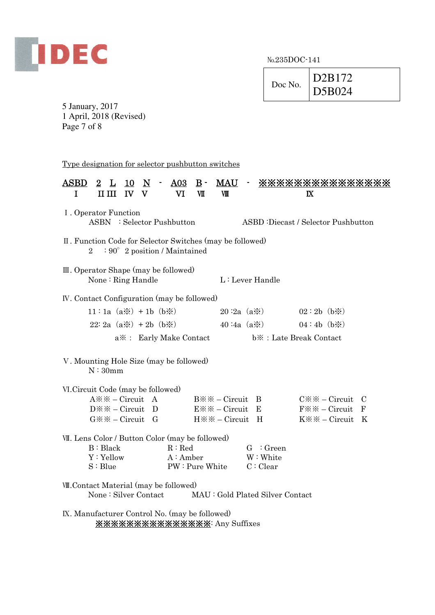

 $Doc No.$  D2B172 D5B024

5 January, 2017 1 April, 2018 (Revised) Page 7 of 8

Type designation for selector pushbutton switches

| <b>ASBD</b><br>I                                                                                                         | $\bf{2}$<br>L<br>$II$ $III$ | <b>10</b><br>$\mathbf{I}$ | $\overline{\mathbf{N}}$<br>$\bf{V}$ | ٠ | $\underline{\mathrm{A}03}$<br>VI | $\mathbf{B}$ -<br>VII | <b>MAU</b><br>ΝШ                | ۰           |  | <b>***************</b><br>$\mathbf{I}$ |     |
|--------------------------------------------------------------------------------------------------------------------------|-----------------------------|---------------------------|-------------------------------------|---|----------------------------------|-----------------------|---------------------------------|-------------|--|----------------------------------------|-----|
| I. Operator Function                                                                                                     | ASBN : Selector Pushbutton  |                           |                                     |   |                                  |                       |                                 |             |  | ASBD: Diecast / Selector Pushbutton    |     |
| II. Function Code for Selector Switches (may be followed)<br>$\div 90^{\circ}$ 2 position / Maintained<br>$\overline{2}$ |                             |                           |                                     |   |                                  |                       |                                 |             |  |                                        |     |
| III. Operator Shape (may be followed)                                                                                    | None: Ring Handle           |                           |                                     |   |                                  |                       | L: Lever Handle                 |             |  |                                        |     |
| IV. Contact Configuration (may be followed)                                                                              |                             |                           |                                     |   |                                  |                       |                                 |             |  |                                        |     |
|                                                                                                                          | $11:1a (a\%) + 1b (b\%)$    |                           |                                     |   |                                  |                       | 20:2a $(a\%)$                   |             |  | 02 : 2b (b)                            |     |
|                                                                                                                          | 22: 2a $(a\%) + 2b$ $(b\%)$ |                           |                                     |   |                                  |                       | 40:4a $(a\%)$                   |             |  | 04:4b(b)                               |     |
|                                                                                                                          |                             |                           |                                     |   | a $\&$ : Early Make Contact      |                       |                                 |             |  | b.*: Late Break Contact                |     |
| V. Mounting Hole Size (may be followed)                                                                                  | N:30mm                      |                           |                                     |   |                                  |                       |                                 |             |  |                                        |     |
| VI. Circuit Code (may be followed)                                                                                       |                             |                           |                                     |   |                                  |                       |                                 |             |  |                                        |     |
|                                                                                                                          | $A \times \times -$ Circuit |                           | A                                   |   |                                  |                       | $B \times \times -$ Circuit     | -B          |  | $C \times X - C$ ircuit                | - C |
|                                                                                                                          | $D \times \times -$ Circuit |                           |                                     | D |                                  |                       | $E \times X - Circuit$          | E           |  | $F \times X - Circuit$                 | F   |
|                                                                                                                          | $G \times X - Circuit$ G    |                           |                                     |   |                                  |                       | H※※ – Circuit                   | H           |  | $K \times \times -$ Circuit            | K   |
| VII. Lens Color / Button Color (may be followed)                                                                         |                             |                           |                                     |   |                                  |                       |                                 |             |  |                                        |     |
|                                                                                                                          | B : Black                   |                           |                                     |   | R:Red                            |                       |                                 | $G$ : Green |  |                                        |     |
|                                                                                                                          | Y: Yellow                   |                           |                                     |   | $A:$ Amber                       |                       |                                 | W: White    |  |                                        |     |
|                                                                                                                          | S : Blue                    |                           |                                     |   | PW: Pure White                   |                       |                                 | C: Clear    |  |                                        |     |
| VII. Contact Material (may be followed)                                                                                  |                             |                           |                                     |   |                                  |                       |                                 |             |  |                                        |     |
|                                                                                                                          | None: Silver Contact        |                           |                                     |   |                                  |                       | MAU: Gold Plated Silver Contact |             |  |                                        |     |
| IX. Manufacturer Control No. (may be followed)                                                                           |                             |                           |                                     |   |                                  |                       |                                 |             |  |                                        |     |

※※※※※※※※※※※※※※※: Any Suffixes